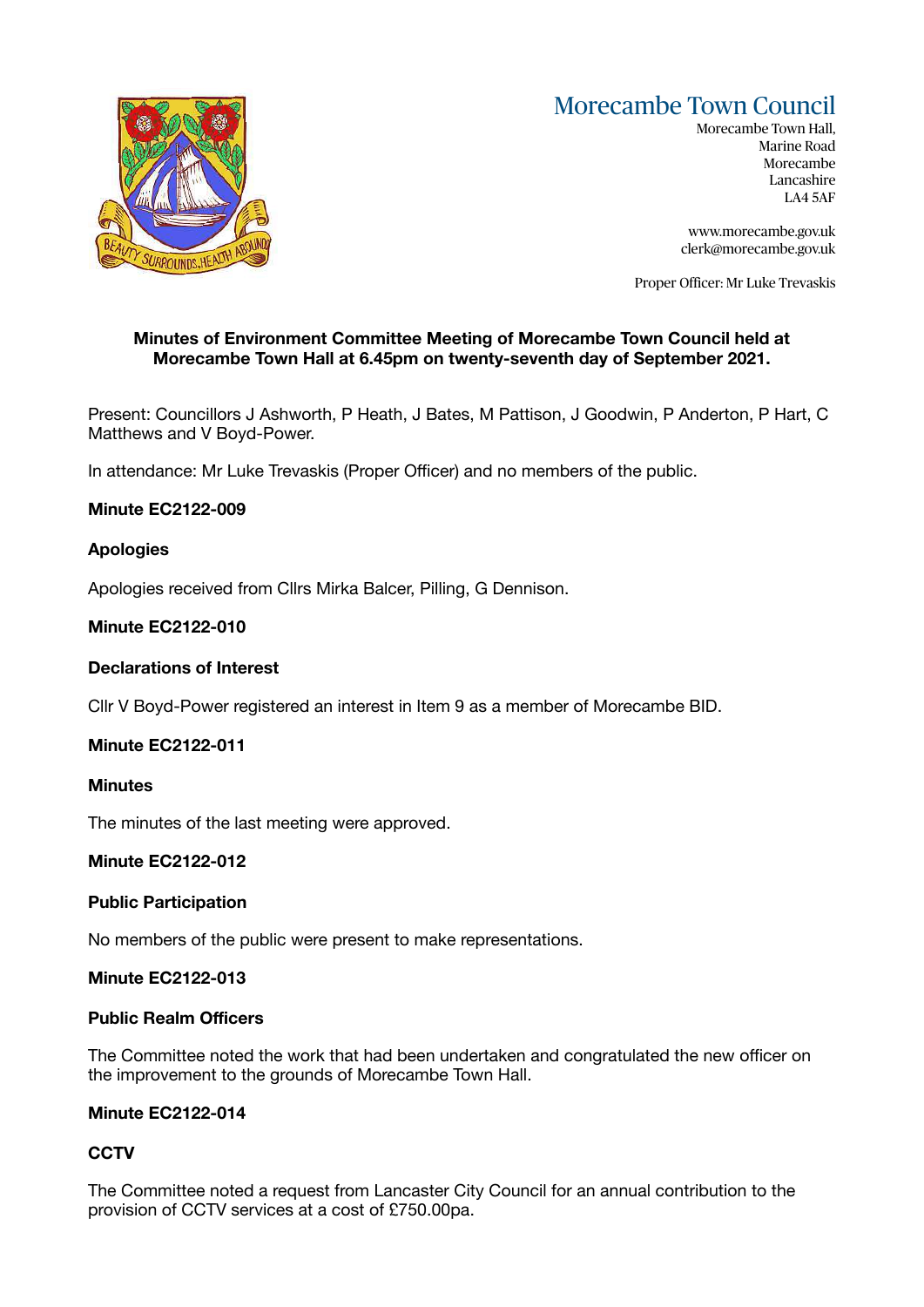# Morecambe Town Council



Morecambe Town Hall, Marine Road Morecambe Lancashire LA4 5AF

[www.morecambe.gov.uk](http://www.morecambe.gov.uk)  [clerk@morecambe.gov.uk](mailto:clerk@morecambe.gov.uk) 

Proper Officer: Mr Luke Trevaskis

# **Minutes of Environment Committee Meeting of Morecambe Town Council held at Morecambe Town Hall at 6.45pm on twenty-seventh day of September 2021.**

Present: Councillors J Ashworth, P Heath, J Bates, M Pattison, J Goodwin, P Anderton, P Hart, C Matthews and V Boyd-Power.

In attendance: Mr Luke Trevaskis (Proper Officer) and no members of the public.

# **Minute EC2122-009**

# **Apologies**

Apologies received from Cllrs Mirka Balcer, Pilling, G Dennison.

# **Minute EC2122-010**

# **Declarations of Interest**

Cllr V Boyd-Power registered an interest in Item 9 as a member of Morecambe BID.

# **Minute EC2122-011**

#### **Minutes**

The minutes of the last meeting were approved.

# **Minute EC2122-012**

# **Public Participation**

No members of the public were present to make representations.

# **Minute EC2122-013**

# **Public Realm Officers**

The Committee noted the work that had been undertaken and congratulated the new officer on the improvement to the grounds of Morecambe Town Hall.

# **Minute EC2122-014**

# **CCTV**

The Committee noted a request from Lancaster City Council for an annual contribution to the provision of CCTV services at a cost of £750.00pa.